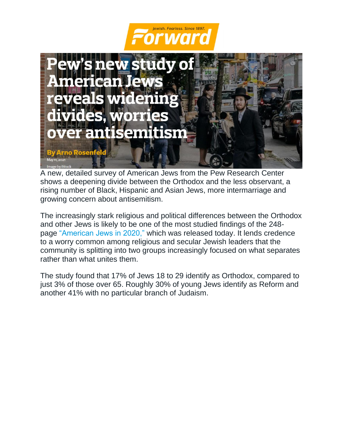



A new, detailed survey of American Jews from the Pew Research Center shows a deepening divide between the Orthodox and the less observant, a rising number of Black, Hispanic and Asian Jews, more intermarriage and growing concern about antisemitism.

The increasingly stark religious and political differences between the Orthodox and other Jews is likely to be one of the most studied findings of the 248 page ["American Jews in 2020,"](https://www.pewforum.org/2021/05/11/jewish-americans-in-2020) which was released today. It lends credence to a worry common among religious and secular Jewish leaders that the community is splitting into two groups increasingly focused on what separates rather than what unites them.

The study found that 17% of Jews 18 to 29 identify as Orthodox, compared to just 3% of those over 65. Roughly 30% of young Jews identify as Reform and another 41% with no particular branch of Judaism.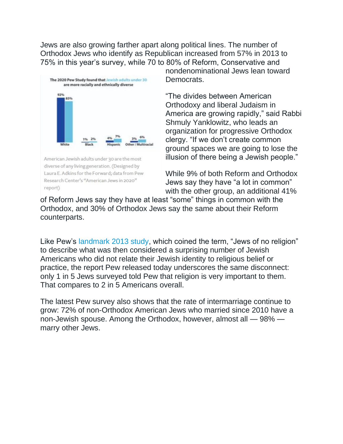Jews are also growing farther apart along political lines. The number of Orthodox Jews who identify as Republican increased from 57% in 2013 to 75% in this year's survey, while 70 to 80% of Reform, Conservative and



American Jewish adults under 30 are the most diverse of any living generation. (Designed by Laura E. Adkins for the Forward; data from Pew Research Center's "American Jews in 2020" report)

nondenominational Jews lean toward Democrats.

"The divides between American Orthodoxy and liberal Judaism in America are growing rapidly," said Rabbi Shmuly Yanklowitz, who leads an organization for progressive Orthodox clergy. "If we don't create common ground spaces we are going to lose the illusion of there being a Jewish people."

While 9% of both Reform and Orthodox Jews say they have "a lot in common" with the other group, an additional 41%

of Reform Jews say they have at least "some" things in common with the Orthodox, and 30% of Orthodox Jews say the same about their Reform counterparts.

Like Pew's [landmark 2013 study,](https://www.pewforum.org/2013/10/01/jewish-american-beliefs-attitudes-culture-survey/) which coined the term, "Jews of no religion" to describe what was then considered a surprising number of Jewish Americans who did not relate their Jewish identity to religious belief or practice, the report Pew released today underscores the same disconnect: only 1 in 5 Jews surveyed told Pew that religion is very important to them. That compares to 2 in 5 Americans overall.

The latest Pew survey also shows that the rate of intermarriage continue to grow: 72% of non-Orthodox American Jews who married since 2010 have a non-Jewish spouse. Among the Orthodox, however, almost all — 98% marry other Jews.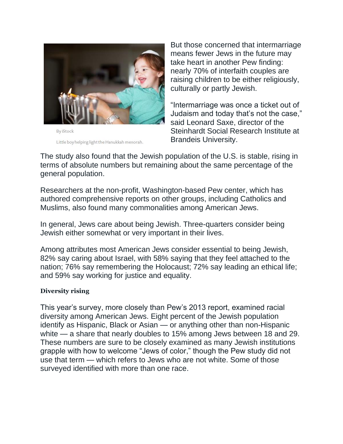

Little boy helping light the Hanukkah menorah.

But those concerned that intermarriage means fewer Jews in the future may take heart in another Pew finding: nearly 70% of interfaith couples are raising children to be either religiously, culturally or partly Jewish.

"Intermarriage was once a ticket out of Judaism and today that's not the case," said Leonard Saxe, director of the Steinhardt Social Research Institute at Brandeis University.

The study also found that the Jewish population of the U.S. is stable, rising in terms of absolute numbers but remaining about the same percentage of the general population.

Researchers at the non-profit, Washington-based Pew center, which has authored comprehensive reports on other groups, including Catholics and Muslims, also found many commonalities among American Jews.

In general, Jews care about being Jewish. Three-quarters consider being Jewish either somewhat or very important in their lives.

Among attributes most American Jews consider essential to being Jewish, 82% say caring about Israel, with 58% saying that they feel attached to the nation; 76% say remembering the Holocaust; 72% say leading an ethical life; and 59% say working for justice and equality.

## **Diversity rising**

This year's survey, more closely than Pew's 2013 report, examined racial diversity among American Jews. Eight percent of the Jewish population identify as Hispanic, Black or Asian — or anything other than non-Hispanic white — a share that nearly doubles to 15% among Jews between 18 and 29. These numbers are sure to be closely examined as many Jewish institutions grapple with how to welcome "Jews of color," though the Pew study did not use that term — which refers to Jews who are not white. Some of those surveyed identified with more than one race.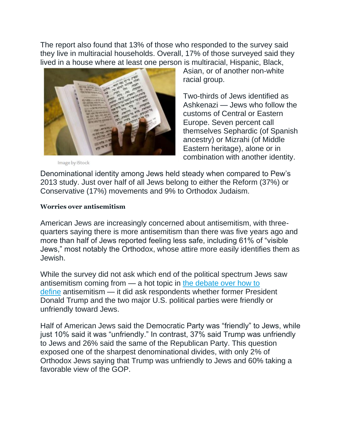The report also found that 13% of those who responded to the survey said they live in multiracial households. Overall, 17% of those surveyed said they lived in a house where at least one person is multiracial, Hispanic, Black,



Image by iStock

Asian, or of another non-white racial group.

Two-thirds of Jews identified as Ashkenazi — Jews who follow the customs of Central or Eastern Europe. Seven percent call themselves Sephardic (of Spanish ancestry) or Mizrahi (of Middle Eastern heritage), alone or in combination with another identity.

Denominational identity among Jews held steady when compared to Pew's 2013 study. Just over half of all Jews belong to either the Reform (37%) or Conservative (17%) movements and 9% to Orthodox Judaism.

## **Worries over antisemitism**

American Jews are increasingly concerned about antisemitism, with threequarters saying there is more antisemitism than there was five years ago and more than half of Jews reported feeling less safe, including 61% of "visible Jews," most notably the Orthodox, whose attire more easily identifies them as Jewish.

While the survey did not ask which end of the political spectrum Jews saw antisemitism coming from — a hot topic in [the debate over how to](https://forward.com/news/466639/leading-jewish-scholars-say-bds-one-state-solution-are-not-antisemitic/)  [define](https://forward.com/news/466639/leading-jewish-scholars-say-bds-one-state-solution-are-not-antisemitic/) antisemitism — it did ask respondents whether former President Donald Trump and the two major U.S. political parties were friendly or unfriendly toward Jews.

Half of American Jews said the Democratic Party was "friendly" to Jews, while just 10% said it was "unfriendly." In contrast, 37% said Trump was unfriendly to Jews and 26% said the same of the Republican Party. This question exposed one of the sharpest denominational divides, with only 2% of Orthodox Jews saying that Trump was unfriendly to Jews and 60% taking a favorable view of the GOP.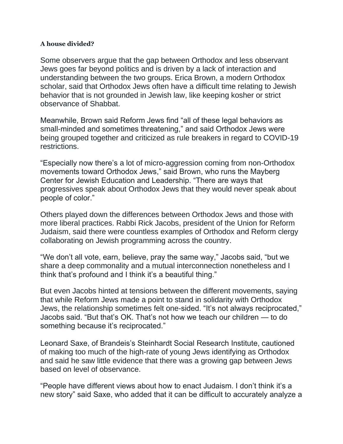## **A house divided?**

Some observers argue that the gap between Orthodox and less observant Jews goes far beyond politics and is driven by a lack of interaction and understanding between the two groups. Erica Brown, a modern Orthodox scholar, said that Orthodox Jews often have a difficult time relating to Jewish behavior that is not grounded in Jewish law, like keeping kosher or strict observance of Shabbat.

Meanwhile, Brown said Reform Jews find "all of these legal behaviors as small-minded and sometimes threatening," and said Orthodox Jews were being grouped together and criticized as rule breakers in regard to COVID-19 restrictions.

"Especially now there's a lot of micro-aggression coming from non-Orthodox movements toward Orthodox Jews," said Brown, who runs the Mayberg Center for Jewish Education and Leadership. "There are ways that progressives speak about Orthodox Jews that they would never speak about people of color."

Others played down the differences between Orthodox Jews and those with more liberal practices. Rabbi Rick Jacobs, president of the Union for Reform Judaism, said there were countless examples of Orthodox and Reform clergy collaborating on Jewish programming across the country.

"We don't all vote, earn, believe, pray the same way," Jacobs said, "but we share a deep commonality and a mutual interconnection nonetheless and I think that's profound and I think it's a beautiful thing."

But even Jacobs hinted at tensions between the different movements, saying that while Reform Jews made a point to stand in solidarity with Orthodox Jews, the relationship sometimes felt one-sided. "It's not always reciprocated," Jacobs said. "But that's OK. That's not how we teach our children — to do something because it's reciprocated."

Leonard Saxe, of Brandeis's Steinhardt Social Research Institute, cautioned of making too much of the high-rate of young Jews identifying as Orthodox and said he saw little evidence that there was a growing gap between Jews based on level of observance.

"People have different views about how to enact Judaism. I don't think it's a new story" said Saxe, who added that it can be difficult to accurately analyze a